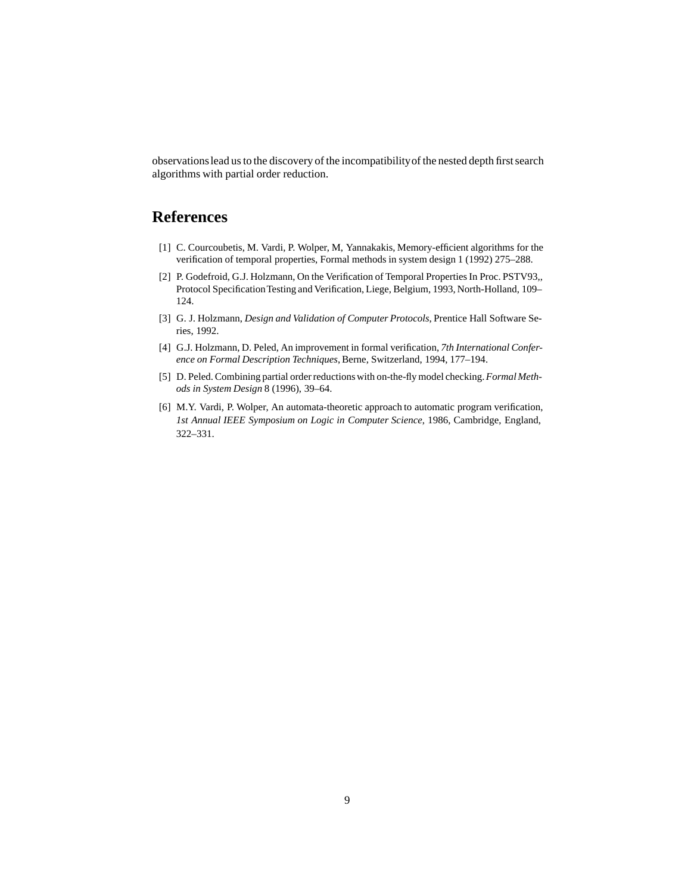observationslead us to the discovery of the incompatibilityof the nested depth first search algorithms with partial order reduction.

## **References**

- [1] C. Courcoubetis, M. Vardi, P. Wolper, M, Yannakakis, Memory-efficient algorithms for the verification of temporal properties, Formal methods in system design 1 (1992) 275–288.
- [2] P. Godefroid, G.J. Holzmann, On the Verification of Temporal Properties In Proc. PSTV93,, Protocol Specification Testing and Verification, Liege, Belgium, 1993, North-Holland, 109-124.
- [3] G. J. Holzmann, *Design and Validation of Computer Protocols*, Prentice Hall Software Series, 1992.
- [4] G.J. Holzmann, D. Peled, An improvement in formal verification, *7th International Conference on Formal Description Techniques*, Berne, Switzerland, 1994, 177–194.
- [5] D. Peled. Combining partial order reductions with on-the-fly model checking.*Formal Methods in System Design* 8 (1996), 39–64.
- [6] M.Y. Vardi, P. Wolper, An automata-theoretic approach to automatic program verification, *1st Annual IEEE Symposium on Logic in Computer Science*, 1986, Cambridge, England, 322–331.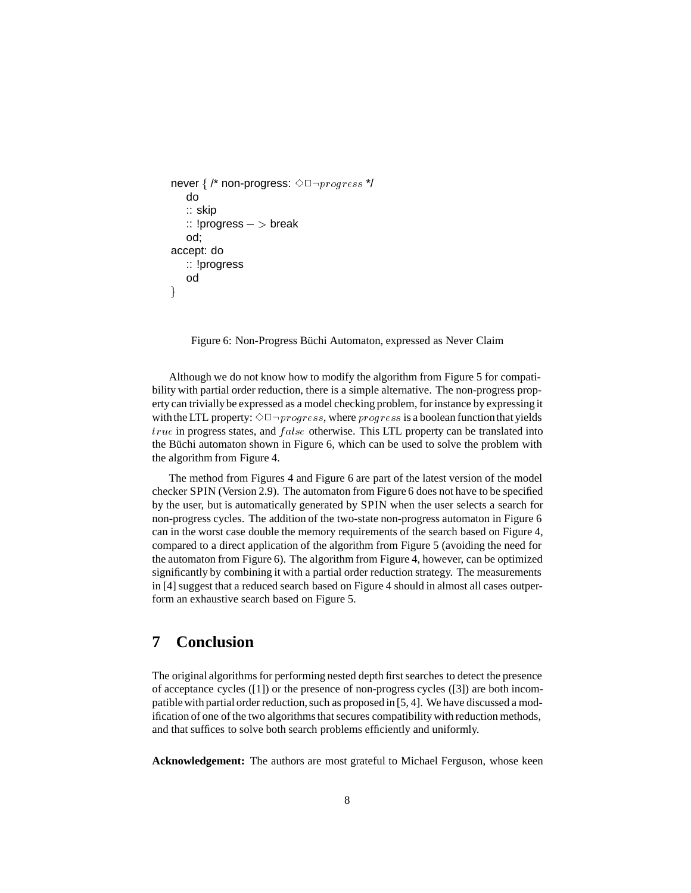```
never \frac{7}{7} non-progress: \Diamond \Box \neg progress */
   do
   :: skip
   :: !progress - > breakod;
accept: do
   :: !progress
   od
\}
```
Figure 6: Non-Progress Büchi Automaton, expressed as Never Claim

Although we do not know how to modify the algorithm from Figure 5 for compatibility with partial order reduction, there is a simple alternative. The non-progress property can triviallybe expressed as a model checking problem, for instance by expressing it with the LTL property:  $\Diamond \Box \neg progress$ , where  $progress$  is a boolean function that yields  $true$  in progress states, and  $false$  otherwise. This LTL property can be translated into the Büchi automaton shown in Figure 6, which can be used to solve the problem with the algorithm from Figure 4.

The method from Figures 4 and Figure 6 are part of the latest version of the model checker SPIN (Version 2.9). The automaton from Figure 6 does not have to be specified by the user, but is automatically generated by SPIN when the user selects a search for non-progress cycles. The addition of the two-state non-progress automaton in Figure 6 can in the worst case double the memory requirements of the search based on Figure 4, compared to a direct application of the algorithm from Figure 5 (avoiding the need for the automaton from Figure 6). The algorithm from Figure 4, however, can be optimized significantly by combining it with a partial order reduction strategy. The measurements in [4] suggest that a reduced search based on Figure 4 should in almost all cases outperform an exhaustive search based on Figure 5.

## **7 Conclusion**

The original algorithms for performing nested depth first searches to detect the presence of acceptance cycles ([1]) or the presence of non-progress cycles ([3]) are both incompatiblewith partial order reduction, such as proposed in [5, 4]. We have discussed a modification of one of the two algorithms that secures compatibility with reduction methods, and that suffices to solve both search problems efficiently and uniformly.

**Acknowledgement:** The authors are most grateful to Michael Ferguson, whose keen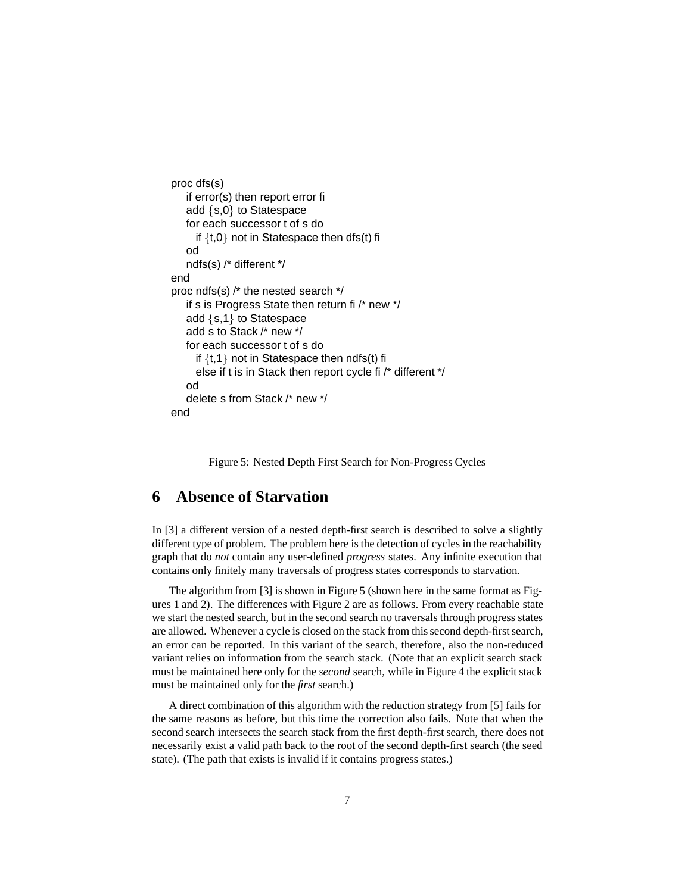```
proc dfs(s)
   if error(s) then report error fi
   add \{s,0\} to Statespace
   for each successor t of s do
     if \{t,0\} not in Statespace then dfs(t) fi
   od
   ndfs(s) /* different */
end
proc ndfs(s) /* the nested search */
   if s is Progress State then return fi /* new */
   add \{s,1\} to Statespace
   add s to Stack /* new */
   for each successor t of s do
     if \{t,1\} not in Statespace then ndfs(t) fi
     else if t is in Stack then report cycle fi /* different */
   od
   delete s from Stack /* new */
end
```
Figure 5: Nested Depth First Search for Non-Progress Cycles

## **6 Absence of Starvation**

In [3] a different version of a nested depth-first search is described to solve a slightly different type of problem. The problem here is the detection of cycles in the reachability graph that do *not* contain any user-defined *progress* states. Any infinite execution that contains only finitely many traversals of progress states corresponds to starvation.

The algorithm from [3] is shown in Figure 5 (shown here in the same format as Figures 1 and 2). The differences with Figure 2 are as follows. From every reachable state we start the nested search, but in the second search no traversals through progress states are allowed. Whenever a cycle is closed on the stack from this second depth-first search, an error can be reported. In this variant of the search, therefore, also the non-reduced variant relies on information from the search stack. (Note that an explicit search stack must be maintained here only for the *second* search, while in Figure 4 the explicit stack must be maintained only for the *first* search.)

A direct combination of this algorithm with the reduction strategy from [5] fails for the same reasons as before, but this time the correction also fails. Note that when the second search intersects the search stack from the first depth-first search, there does not necessarily exist a valid path back to the root of the second depth-first search (the seed state). (The path that exists is invalid if it contains progress states.)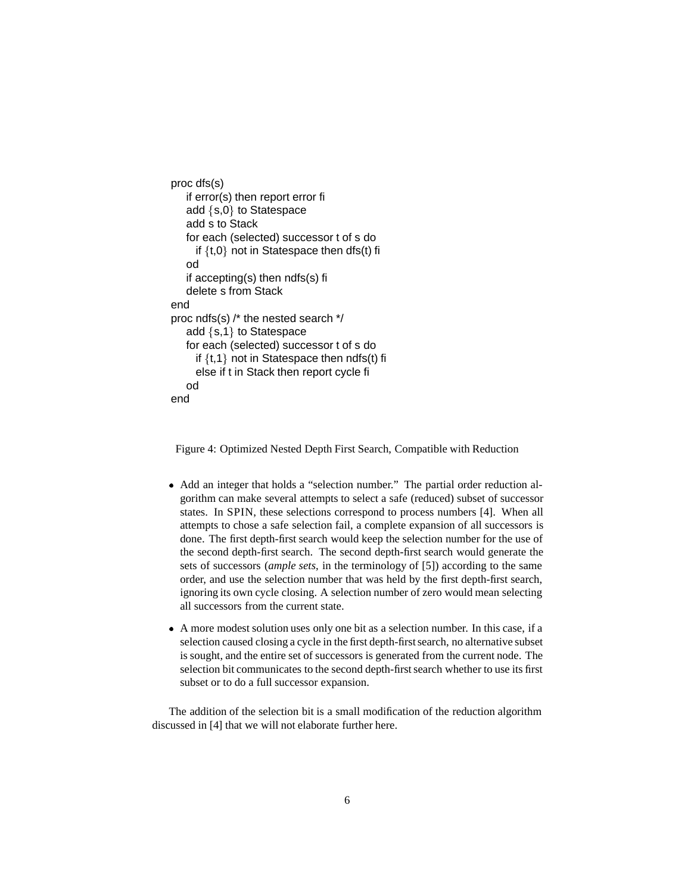```
proc dfs(s)
   if error(s) then report error fi
   add \{s,0\} to Statespace
   add s to Stack
   for each (selected) successor t of s do
     if \{t,0\} not in Statespace then dfs(t) fi
   od
   if accepting(s) then ndfs(s) fi
   delete s from Stack
end
proc ndfs(s) /* the nested search */
   add \{s,1\} to Statespace
   for each (selected) successor t of s do
     if \{t,1\} not in Statespace then ndfs(t) fi
     else if t in Stack then report cycle fi
   od
end
```
Figure 4: Optimized Nested Depth First Search, Compatible with Reduction

- Add an integer that holds a "selection number." The partial order reduction algorithm can make several attempts to select a safe (reduced) subset of successor states. In SPIN, these selections correspond to process numbers [4]. When all attempts to chose a safe selection fail, a complete expansion of all successors is done. The first depth-first search would keep the selection number for the use of the second depth-first search. The second depth-first search would generate the sets of successors (*ample sets*, in the terminology of [5]) according to the same order, and use the selection number that was held by the first depth-first search, ignoring its own cycle closing. A selection number of zero would mean selecting all successors from the current state.
- A more modest solution uses only one bit as a selection number. In this case, if a selection caused closing a cycle in the first depth-first search, no alternative subset is sought, and the entire set of successors is generated from the current node. The selection bit communicates to the second depth-first search whether to use its first subset or to do a full successor expansion.

The addition of the selection bit is a small modification of the reduction algorithm discussed in [4] that we will not elaborate further here.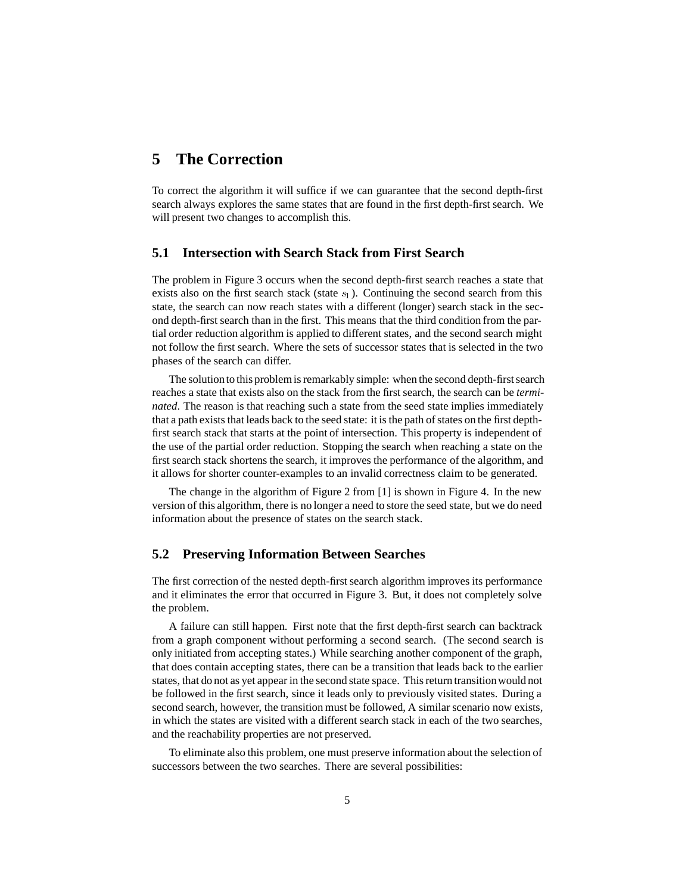## **5 The Correction**

To correct the algorithm it will suffice if we can guarantee that the second depth-first search always explores the same states that are found in the first depth-first search. We will present two changes to accomplish this.

#### **5.1 Intersection with Search Stack from First Search**

The problem in Figure 3 occurs when the second depth-first search reaches a state that exists also on the first search stack (state  $s_1$ ). Continuing the second search from this state, the search can now reach states with a different (longer) search stack in the second depth-first search than in the first. This means that the third condition from the partial order reduction algorithm is applied to different states, and the second search might not follow the first search. Where the sets of successor states that is selected in the two phases of the search can differ.

The solutionto this problem is remarkably simple: when the second depth-first search reaches a state that exists also on the stack from the first search, the search can be *terminated*. The reason is that reaching such a state from the seed state implies immediately that a path exists that leads back to the seed state: it is the path of states on the first depthfirst search stack that starts at the point of intersection. This property is independent of the use of the partial order reduction. Stopping the search when reaching a state on the first search stack shortens the search, it improves the performance of the algorithm, and it allows for shorter counter-examples to an invalid correctness claim to be generated.

The change in the algorithm of Figure 2 from [1] is shown in Figure 4. In the new version of this algorithm, there is no longer a need to store the seed state, but we do need information about the presence of states on the search stack.

#### **5.2 Preserving Information Between Searches**

The first correction of the nested depth-first search algorithm improves its performance and it eliminates the error that occurred in Figure 3. But, it does not completely solve the problem.

A failure can still happen. First note that the first depth-first search can backtrack from a graph component without performing a second search. (The second search is only initiated from accepting states.) While searching another component of the graph, that does contain accepting states, there can be a transition that leads back to the earlier states, that do not as yet appear in the second state space. This return transitionwould not be followed in the first search, since it leads only to previously visited states. During a second search, however, the transition must be followed, A similar scenario now exists, in which the states are visited with a different search stack in each of the two searches, and the reachability properties are not preserved.

To eliminate also this problem, one must preserve information about the selection of successors between the two searches. There are several possibilities: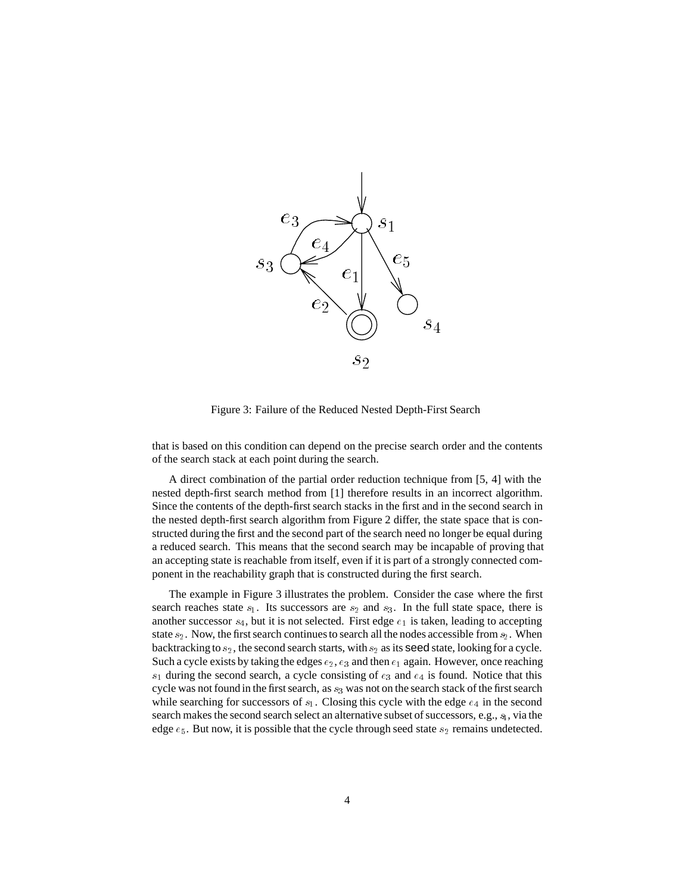

Figure 3: Failure of the Reduced Nested Depth-First Search

that is based on this condition can depend on the precise search order and the contents of the search stack at each point during the search.

A direct combination of the partial order reduction technique from [5, 4] with the nested depth-first search method from [1] therefore results in an incorrect algorithm. Since the contents of the depth-first search stacks in the first and in the second search in the nested depth-first search algorithm from Figure 2 differ, the state space that is constructed during the first and the second part of the search need no longer be equal during a reduced search. This means that the second search may be incapable of proving that an accepting state is reachable from itself, even if it is part of a strongly connected component in the reachability graph that is constructed during the first search.

The example in Figure 3 illustrates the problem. Consider the case where the first search reaches state  $s_1$ . Its successors are  $s_2$  and  $s_3$ . In the full state space, there is another successor  $s_4$ , but it is not selected. First edge  $e_1$  is taken, leading to accepting state  $s_2$ . Now, the first search continues to search all the nodes accessible from  $s_2$ . When backtracking to  $s_2$ , the second search starts, with  $s_2$  as its **seed** state, looking for a cycle. Such a cycle exists by taking the edges  $e_2, e_3$  and then  $e_1$  again. However, once reaching  $s_1$  during the second search, a cycle consisting of  $e_3$  and  $e_4$  is found. Notice that this cycle was not found in the first search, as  $s_3$  was not on the search stack of the first search while searching for successors of  $s_1$ . Closing this cycle with the edge  $e_4$  in the second search makes the second search select an alternative subset of successors, e.g.,  $s_1$ , via the edge  $e_5$ . But now, it is possible that the cycle through seed state  $s_2$  remains undetected.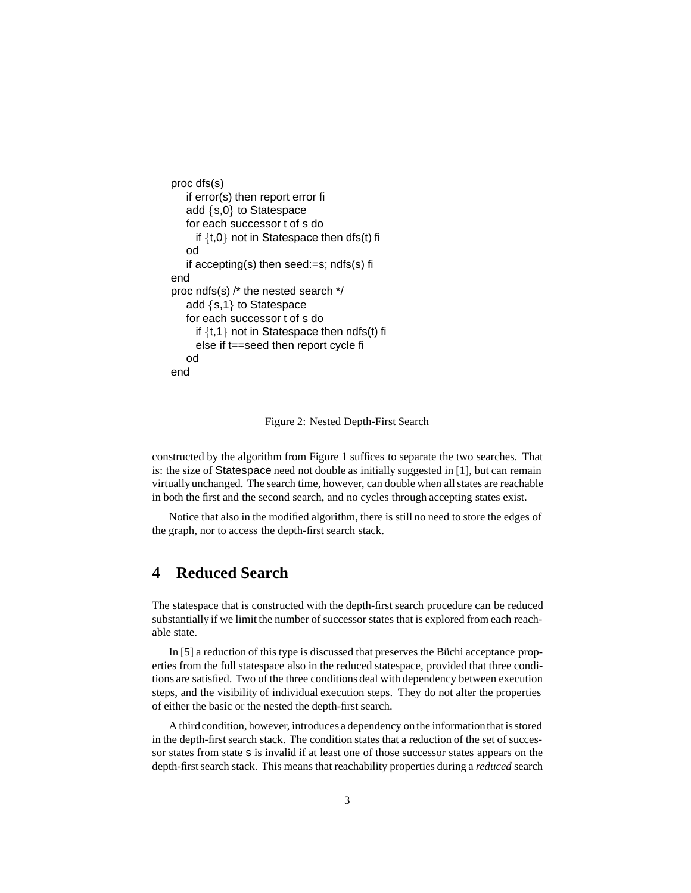```
proc dfs(s)
   if error(s) then report error fi
   add \{s,0\} to Statespace
   for each successor t of s do
     if \{t,0\} not in Statespace then dfs(t) fi
   od
   if accepting(s) then seed:=s; ndfs(s) fi
end
proc ndfs(s) /* the nested search */
   add \{s,1\} to Statespace
   for each successor t of s do
     if \{t,1\} not in Statespace then ndfs(t) fi
     else if t==seed then report cycle fi
   od
end
```
Figure 2: Nested Depth-First Search

constructed by the algorithm from Figure 1 suffices to separate the two searches. That is: the size of Statespace need not double as initially suggested in [1], but can remain virtuallyunchanged. The search time, however, can double when all states are reachable in both the first and the second search, and no cycles through accepting states exist.

Notice that also in the modified algorithm, there is still no need to store the edges of the graph, nor to access the depth-first search stack.

## **4 Reduced Search**

The statespace that is constructed with the depth-first search procedure can be reduced substantially if we limit the number of successor states that is explored from each reachable state.

In  $[5]$  a reduction of this type is discussed that preserves the Büchi acceptance properties from the full statespace also in the reduced statespace, provided that three conditions are satisfied. Two of the three conditions deal with dependency between execution steps, and the visibility of individual execution steps. They do not alter the properties of either the basic or the nested the depth-first search.

A thirdcondition, however, introduces a dependency on the informationthat is stored in the depth-first search stack. The condition states that a reduction of the set of successor states from state s is invalid if at least one of those successor states appears on the depth-first search stack. This means that reachability properties during a *reduced* search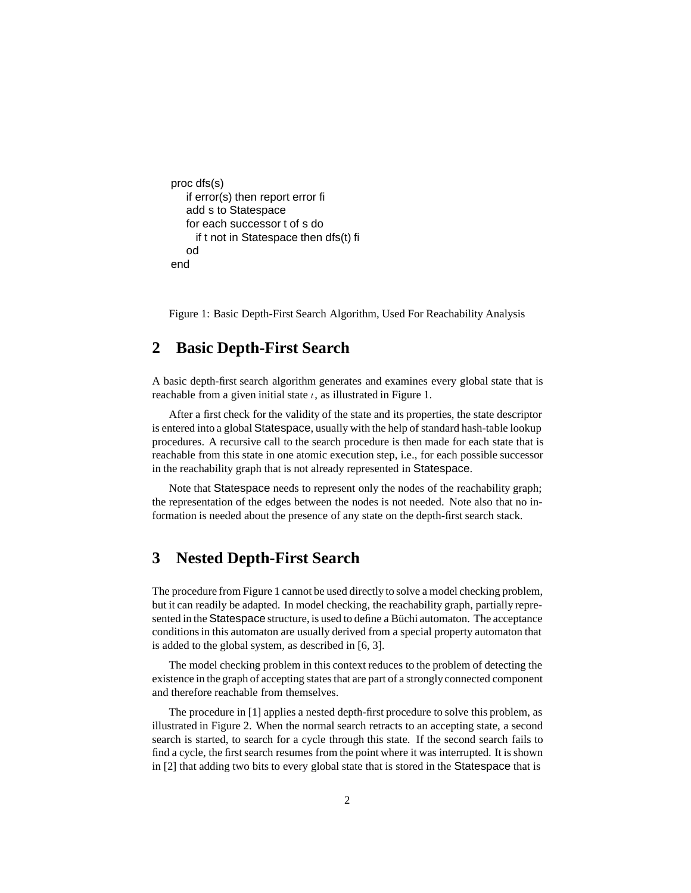```
proc dfs(s)
   if error(s) then report error fi
   add s to Statespace
   for each successor t of s do
     if t not in Statespace then dfs(t) fi
   od
end
```
Figure 1: Basic Depth-First Search Algorithm, Used For Reachability Analysis

### **2 Basic Depth-First Search**

A basic depth-first search algorithm generates and examines every global state that is reachable from a given initial state  $\iota$ , as illustrated in Figure 1.

After a first check for the validity of the state and its properties, the state descriptor is entered into a global Statespace, usually with the help of standard hash-table lookup procedures. A recursive call to the search procedure is then made for each state that is reachable from this state in one atomic execution step, i.e., for each possible successor in the reachability graph that is not already represented in Statespace.

Note that Statespace needs to represent only the nodes of the reachability graph; the representation of the edges between the nodes is not needed. Note also that no information is needed about the presence of any state on the depth-first search stack.

## **3 Nested Depth-First Search**

The procedure from Figure 1 cannot be used directly to solve a model checking problem, but it can readily be adapted. In model checking, the reachability graph, partially represented in the Statespace structure, is used to define a Büchi automaton. The acceptance conditions in this automaton are usually derived from a special property automaton that is added to the global system, as described in [6, 3].

The model checking problem in this context reduces to the problem of detecting the existence in the graph of accepting states that are part of a stronglyconnected component and therefore reachable from themselves.

The procedure in [1] applies a nested depth-first procedure to solve this problem, as illustrated in Figure 2. When the normal search retracts to an accepting state, a second search is started, to search for a cycle through this state. If the second search fails to find a cycle, the first search resumes from the point where it was interrupted. It is shown in [2] that adding two bits to every global state that is stored in the Statespace that is